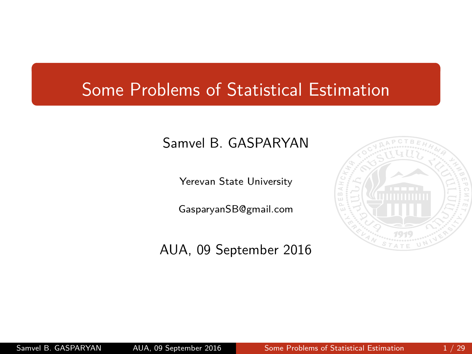#### <span id="page-0-0"></span>Some Problems of Statistical Estimation

#### Samvel B. GASPARYAN

Yerevan State University

[GasparyanSB@gmail.com](mailto:GasparyanSB@gmail.com)

AUA, 09 September 2016

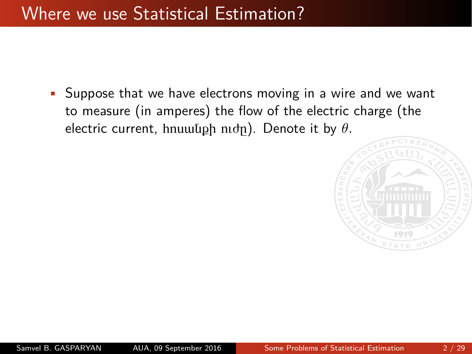#### Where we use Statistical Estimation?

• Suppose that we have electrons moving in a wire and we want to measure (in amperes) the flow of the electric charge (the electric current, հոսանքի ուժը). Denote it by *θ.*

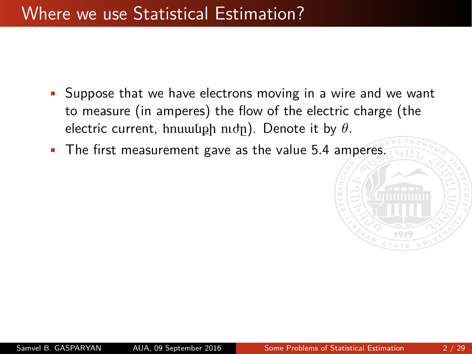#### Where we use Statistical Estimation?

- Suppose that we have electrons moving in a wire and we want to measure (in amperes) the flow of the electric charge (the electric current, հոսանքի ուժը). Denote it by *θ.*
- The first measurement gave as the value 5*.*4 amperes.

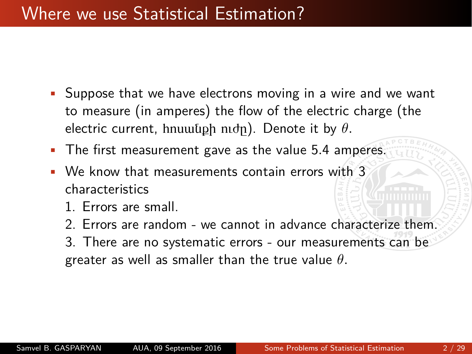#### Where we use Statistical Estimation?

- Suppose that we have electrons moving in a wire and we want to measure (in amperes) the flow of the electric charge (the electric current, հոսանքի ուժը). Denote it by *θ.*
- The first measurement gave as the value 5*.*4 amperes.
- We know that measurements contain errors with 3 characteristics
	- 1. Errors are small.
	- 2. Errors are random we cannot in advance characterize them.
	- 3. There are no systematic errors our measurements can be greater as well as smaller than the true value *θ.*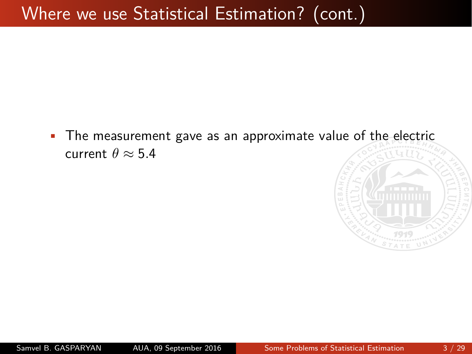# Where we use Statistical Estimation? (cont.)

• The measurement gave as an approximate value of the electric current  $\theta \approx 5.4$ 

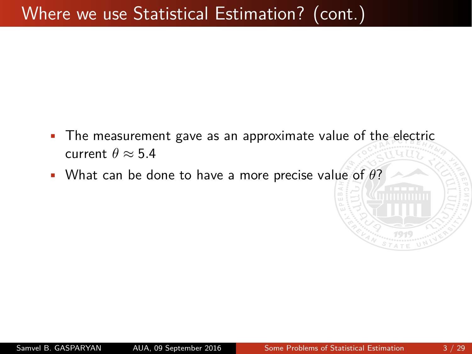# Where we use Statistical Estimation? (cont.)

- The measurement gave as an approximate value of the electric current  $\theta \approx 5.4$
- What can be done to have a more precise value of *θ*?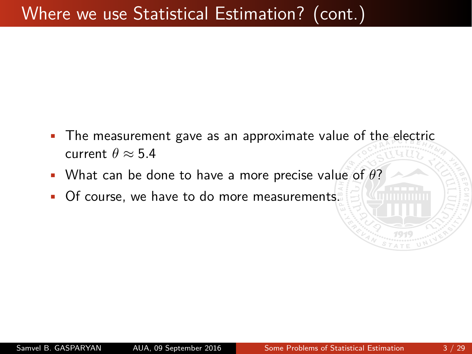# Where we use Statistical Estimation? (cont.)

- The measurement gave as an approximate value of the electric current  $\theta \approx 5.4$
- What can be done to have a more precise value of *θ*?
- Of course, we have to do more measurements.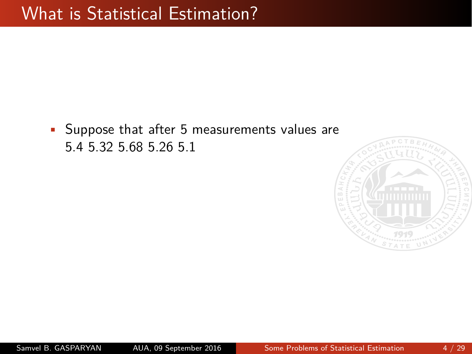• Suppose that after 5 measurements values are 5.4 5.32 5.68 5.26 5.1

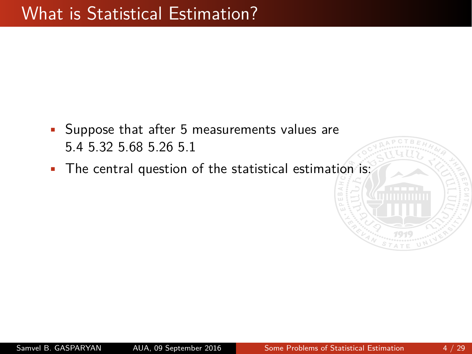- Suppose that after 5 measurements values are 5.4 5.32 5.68 5.26 5.1
- The central question of the statistical estimation is: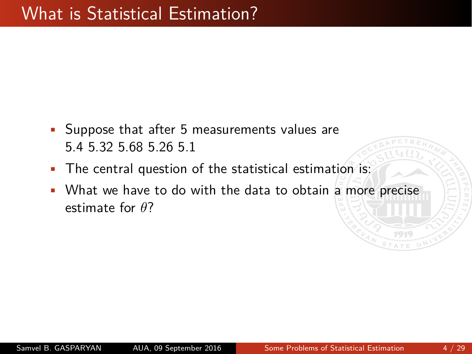- Suppose that after 5 measurements values are 5.4 5.32 5.68 5.26 5.1
- The central question of the statistical estimation is:
- What we have to do with the data to obtain a more precise estimate for *θ*?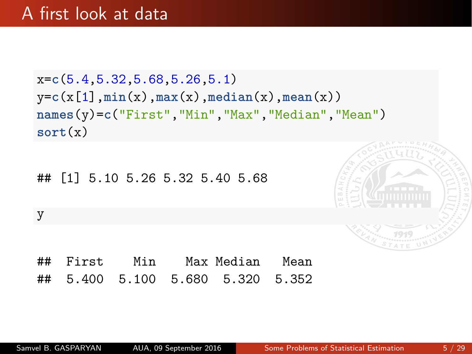#### A first look at data

x=**c**(5.4,5.32,5.68,5.26,5.1) y=**c**(x[1],**min**(x),**max**(x),**median**(x),**mean**(x)) **names**(y)=**c**("First","Min","Max","Median","Mean") **sort**(x) ## [1] 5.10 5.26 5.32 5.40 5.68 y ## First Min Max Median Mean

## 5.400 5.100 5.680 5.320 5.352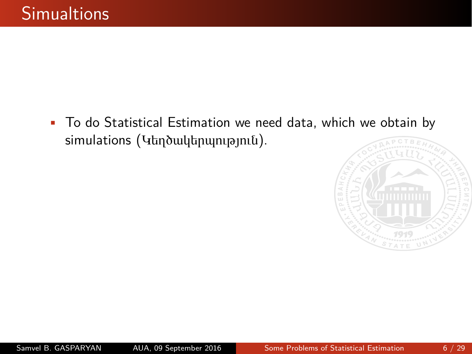• To do Statistical Estimation we need data, which we obtain by simulations (Կեղծակերպություն).

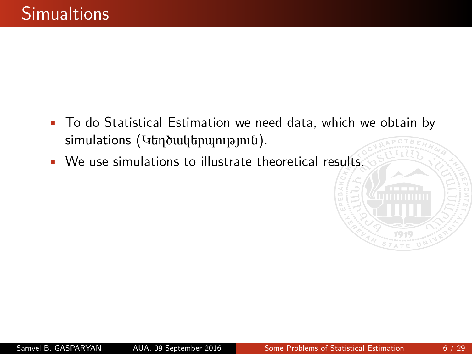- To do Statistical Estimation we need data, which we obtain by simulations (Կեղծակերպություն).
- We use simulations to illustrate theoretical results.

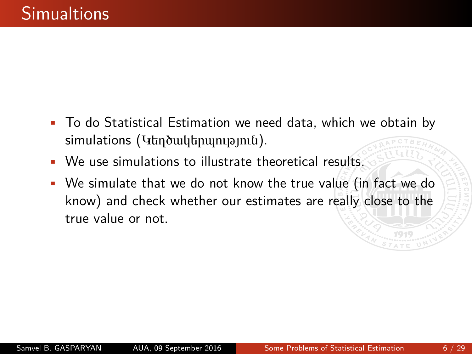- To do Statistical Estimation we need data, which we obtain by simulations (Կեղծակերպություն).
- We use simulations to illustrate theoretical results.
- We simulate that we do not know the true value (in fact we do know) and check whether our estimates are really close to the true value or not.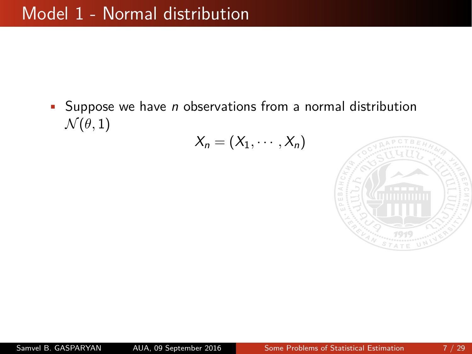• Suppose we have *n* observations from a normal distribution  $\mathcal{N}(\theta, 1)$ 

$$
X_n=(X_1,\cdots,X_n)
$$

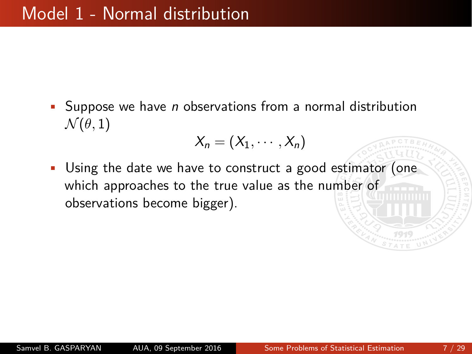• Suppose we have *n* observations from a normal distribution  $\mathcal{N}(\theta, 1)$ 

$$
X_n=(X_1,\cdots,X_n)
$$

Using the date we have to construct a good estimator (one which approaches to the true value as the number of observations become bigger).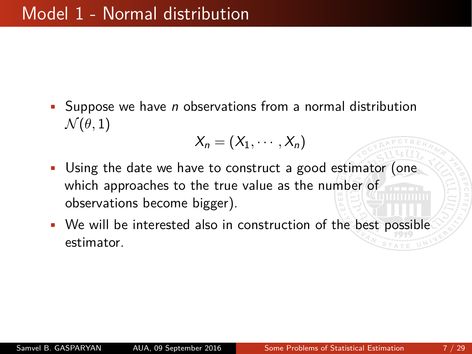• Suppose we have *n* observations from a normal distribution  $\mathcal{N}(\theta, 1)$ 

$$
X_n=(X_1,\cdots,X_n)
$$

- Using the date we have to construct a good estimator (one which approaches to the true value as the number of observations become bigger).
- We will be interested also in construction of the best possible estimator.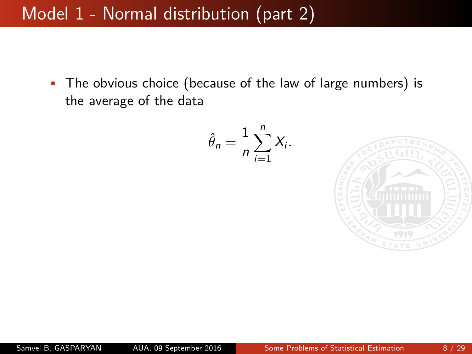Model 1 - Normal distribution (part 2)

• The obvious choice (because of the law of large numbers) is the average of the data

$$
\hat{\theta}_n = \frac{1}{n} \sum_{i=1}^n X_i.
$$

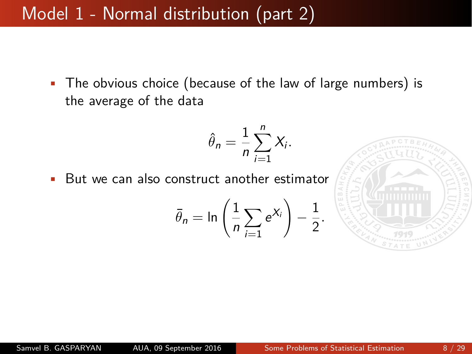Model 1 - Normal distribution (part 2)

• The obvious choice (because of the law of large numbers) is the average of the data

$$
\hat{\theta}_n = \frac{1}{n} \sum_{i=1}^n X_i.
$$

• But we can also construct another estimator

$$
\bar{\theta}_n = \ln\left(\frac{1}{n}\sum_{i=1}e^{X_i}\right) - \frac{1}{2}.
$$

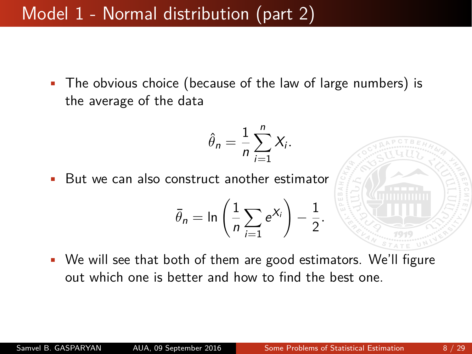Model 1 - Normal distribution (part 2)

• The obvious choice (because of the law of large numbers) is the average of the data

$$
\hat{\theta}_n = \frac{1}{n} \sum_{i=1}^n X_i.
$$

• But we can also construct another estimator

$$
\bar{\theta}_n = \ln\left(\frac{1}{n}\sum_{i=1}e^{X_i}\right) - \frac{1}{2}.
$$

• We will see that both of them are good estimators. We'll figure out which one is better and how to find the best one.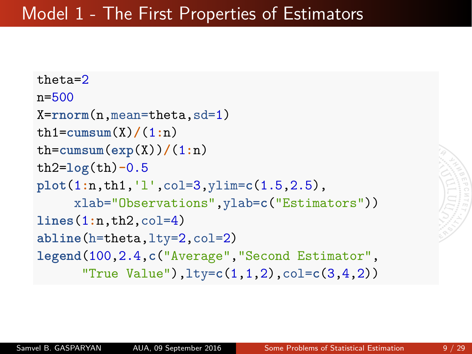```
theta=2
n=500
X=rnorm(n,mean=theta,sd=1)
th1=cumsum(X)/(1:n)
th=cumsum(exp(X))/(1:n)
th2=log(th)-0.5
plot(1:n,th1,'l',col=3,ylim=c(1.5,2.5),
     xlab="Observations",ylab=c("Estimators"))
lines(1:n,th2,col=4)
abline(h=theta,lty=2,col=2)
legend(100,2.4,c("Average","Second Estimator",
      "True Value"),lty=c(1,1,2),col=c(3,4,2))
```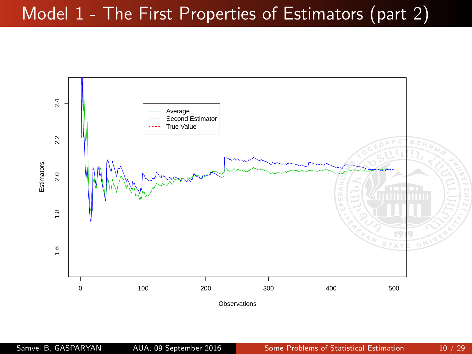## Model 1 - The First Properties of Estimators (part 2)

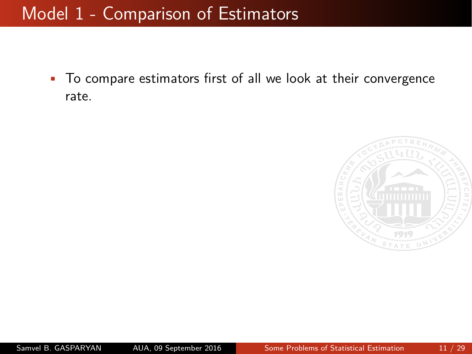• To compare estimators first of all we look at their convergence rate.

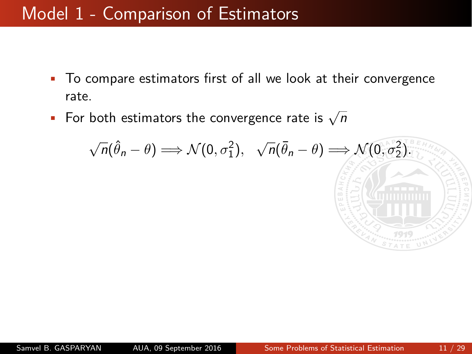- To compare estimators first of all we look at their convergence rate.
- For both estimators the convergence rate is  $\sqrt{n}$

$$
\sqrt{n}(\hat{\theta}_n - \theta) \Longrightarrow \mathcal{N}(0, \sigma_1^2), \quad \sqrt{n}(\bar{\theta}_n - \theta) \Longrightarrow \mathcal{N}(0, \sigma_2^2)^{\frac{\beta}{\beta}} \stackrel{\text{SVD}}{\longrightarrow}
$$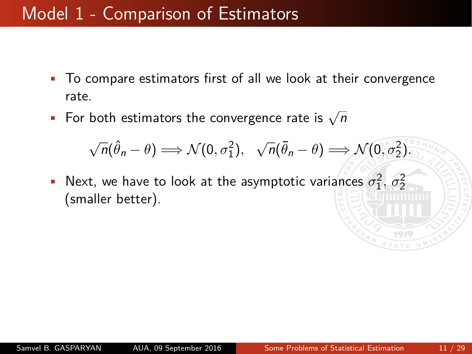- To compare estimators first of all we look at their convergence rate.
- For both estimators the convergence rate is  $\sqrt{n}$

$$
\sqrt{n}(\hat{\theta}_n - \theta) \Longrightarrow \mathcal{N}(0, \sigma_1^2), \quad \sqrt{n}(\bar{\theta}_n - \theta) \Longrightarrow \mathcal{N}(0, \sigma_2^2).
$$

• Next, we have to look at the asymptotic variances  $\sigma_1^2$ ,  $\sigma_2^2$ (smaller better).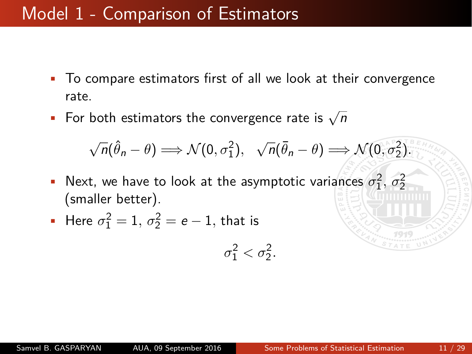- To compare estimators first of all we look at their convergence rate.
- For both estimators the convergence rate is  $\sqrt{n}$

$$
\sqrt{n}(\hat{\theta}_n - \theta) \Longrightarrow \mathcal{N}(0, \sigma_1^2), \quad \sqrt{n}(\bar{\theta}_n - \theta) \Longrightarrow \mathcal{N}(0, \sigma_2^2).
$$

• Next, we have to look at the asymptotic variances  $\sigma_1^2$ ,  $\sigma_2^2$ (smaller better).

• Here 
$$
\sigma_1^2 = 1
$$
,  $\sigma_2^2 = e - 1$ , that is

$$
\sigma_1^2 < \sigma_2^2.
$$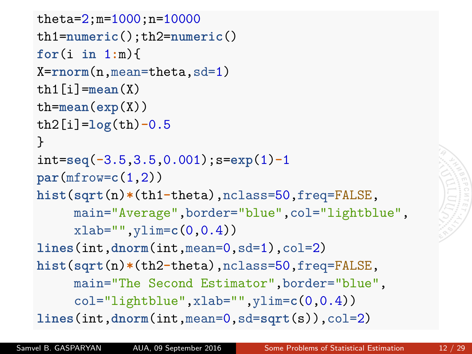```
theta=2;m=1000;n=10000
th1=numeric();th2=numeric()
for(i in 1:m){
X=rnorm(n,mean=theta,sd=1)
th1[i]=mean(X)
th=mean(exp(X))
th2[i]=log(th)-0.5
}
int=seq(-3.5,3.5,0.001);s=exp(1)-1
par(mfrow=c(1,2))
hist(sqrt(n)*(th1-theta),nclass=50,freq=FALSE,
     main="Average",border="blue",col="lightblue",
     xlab="",ylim=c(0,0.4))
lines(int,dnorm(int,mean=0,sd=1),col=2)
hist(sqrt(n)*(th2-theta),nclass=50,freq=FALSE,
     main="The Second Estimator",border="blue",
     col="lightblue",xlab="",ylim=c(0,0.4))
lines(int,dnorm(int,mean=0,sd=sqrt(s)),col=2)
```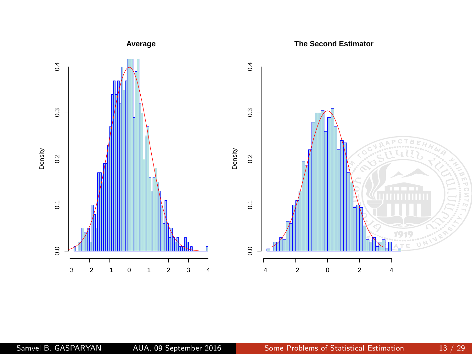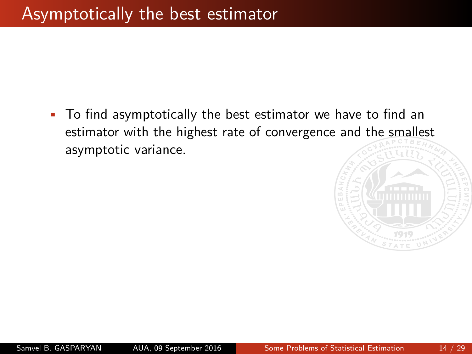• To find asymptotically the best estimator we have to find an estimator with the highest rate of convergence and the smallest asymptotic variance.

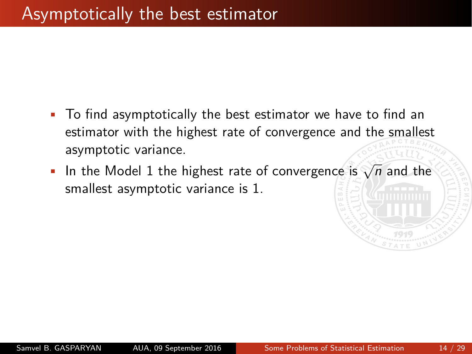- To find asymptotically the best estimator we have to find an estimator with the highest rate of convergence and the smallest asymptotic variance.
- In the Model 1 the highest rate of convergence is  $\sqrt{n}$  and the smallest asymptotic variance is 1.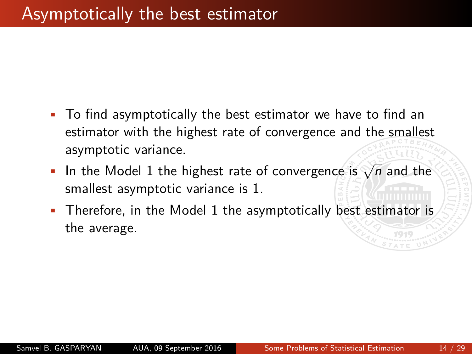- To find asymptotically the best estimator we have to find an estimator with the highest rate of convergence and the smallest asymptotic variance.
- In the Model 1 the highest rate of convergence is  $\sqrt{n}$  and the smallest asymptotic variance is 1.
- Therefore, in the Model 1 the asymptotically best estimator is the average.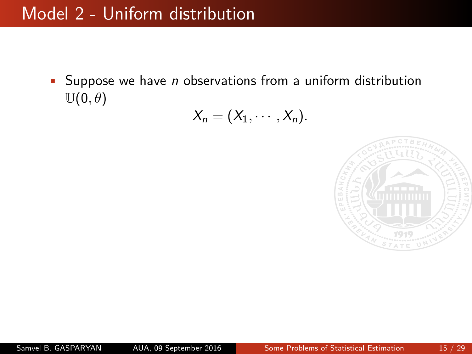## Model 2 - Uniform distribution

• Suppose we have *n* observations from a uniform distribution  $\mathbb{U}(0,\theta)$ 

$$
X_n=(X_1,\cdots,X_n).
$$

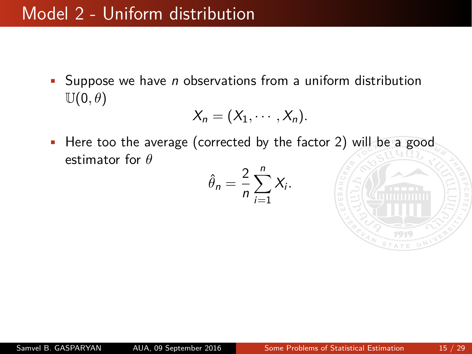### Model 2 - Uniform distribution

• Suppose we have  $n$  observations from a uniform distribution  $\mathbb{U}(0,\theta)$ 

$$
X_n=(X_1,\cdots,X_n).
$$

• Here too the average (corrected by the factor 2) will be a good estimator for *θ*

$$
\hat{\theta}_n = \frac{2}{n} \sum_{i=1}^n X_i.
$$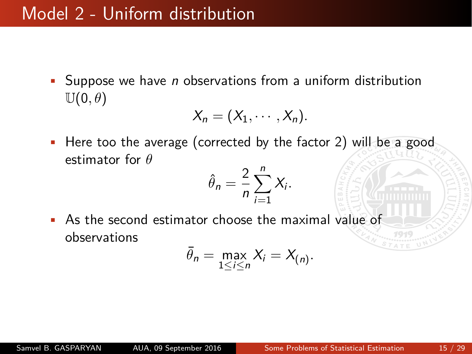### Model 2 - Uniform distribution

• Suppose we have  $n$  observations from a uniform distribution  $\mathbb{U}(0,\theta)$ 

$$
X_n=(X_1,\cdots,X_n).
$$

• Here too the average (corrected by the factor 2) will be a good estimator for *θ*

$$
\hat{\theta}_n = \frac{2}{n} \sum_{i=1}^n X_i.
$$

• As the second estimator choose the maximal value of observations

$$
\bar{\theta}_n = \max_{1 \leq i \leq n} X_i = X_{(n)}.
$$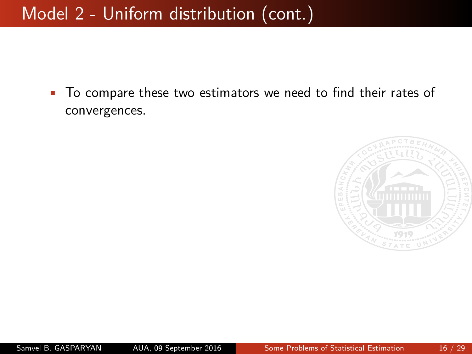## Model 2 - Uniform distribution (cont.)

• To compare these two estimators we need to find their rates of convergences.

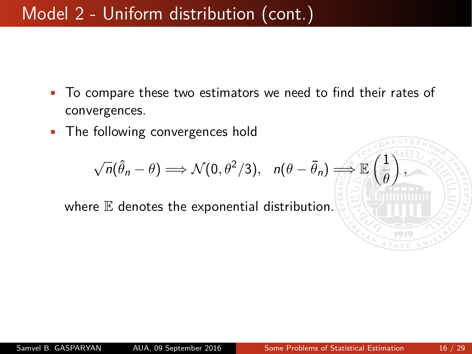## Model 2 - Uniform distribution (cont.)

To compare these two estimators we need to find their rates of convergences.

> t 1 *θ* ). *,*

• The following convergences hold

$$
\sqrt{n}(\hat{\theta}_n - \theta) \Longrightarrow \mathcal{N}(0, \theta^2/3), \quad n(\theta - \bar{\theta}_n) \Longrightarrow \mathbb{E}
$$

where  $E$  denotes the exponential distribution.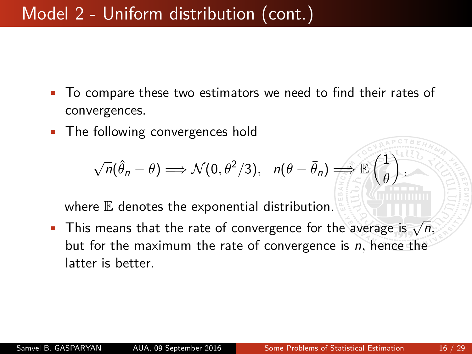## Model 2 - Uniform distribution (cont.)

- To compare these two estimators we need to find their rates of convergences.
- The following convergences hold

$$
\sqrt{n}(\hat{\theta}_n - \theta) \Longrightarrow \mathcal{N}(0, \theta^2/3), \quad n(\theta - \bar{\theta}_n) \Longrightarrow \mathbb{E}\left(\frac{1}{\theta}\right)
$$

). *,*

where  $E$  denotes the exponential distribution.

• This means that the rate of convergence for the average is  $\sqrt{n}$ , but for the maximum the rate of convergence is n*,* hence the latter is better.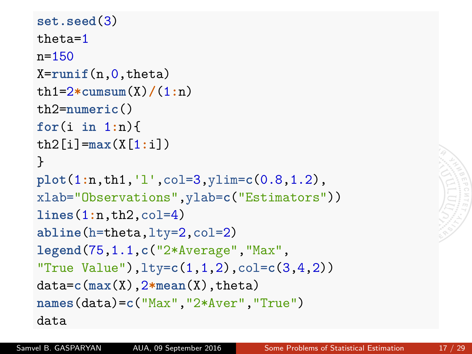```
set.seed(3)
t.het.a=1n=150
X=runif(n,0,theta)
th1=2*cumsum(X)/(1:n)
th2=numeric()
for(i in 1:n){
th2[i]=max(X[1:i])
}
plot(1:n,th1,'l',col=3,ylim=c(0.8,1.2),
xlab="Observations",ylab=c("Estimators"))
lines(1:n,th2,col=4)
abline(h=theta,lty=2,col=2)
legend(75,1.1,c("2*Average","Max",
"True Value"),lty=c(1,1,2),col=c(3,4,2))
data=c(max(X),2*mean(X),theta)
names(data)=c("Max","2*Aver","True")
data
```
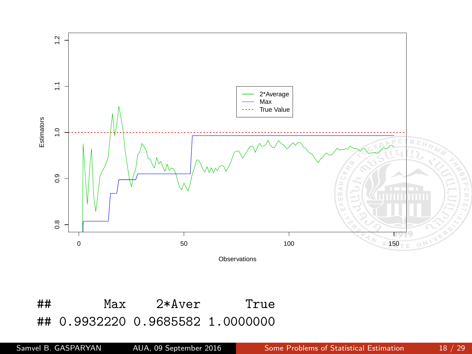

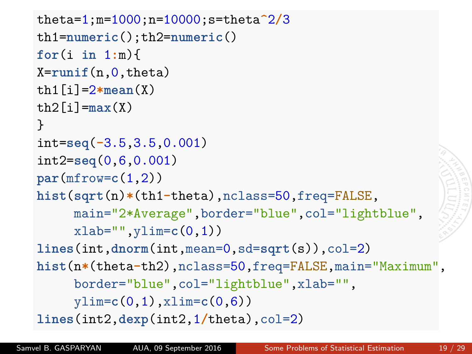```
theta=1;m=1000;n=10000;s=theta^2/3
th1=numeric();th2=numeric()
for(i in 1:m){
X=runif(n,0,theta)
th1[i]=2*mean(X)
th2[i]=max(X)
}
int=seq(-3.5,3.5,0.001)
int2=seq(0,6,0.001)
par(mfrow=c(1,2))
hist(sqrt(n)*(th1-theta),nclass=50,freq=FALSE,
     main="2*Average",border="blue",col="lightblue",
     xlab="",ylim=c(0,1))
lines(int,dnorm(int,mean=0,sd=sqrt(s)),col=2)
hist(n*(theta-th2),nclass=50,freq=FALSE,main="Maximum",
     border="blue",col="lightblue",xlab="",
     ylim=c(0,1),xlim=c(0,6))
lines(int2,dexp(int2,1/theta),col=2)
```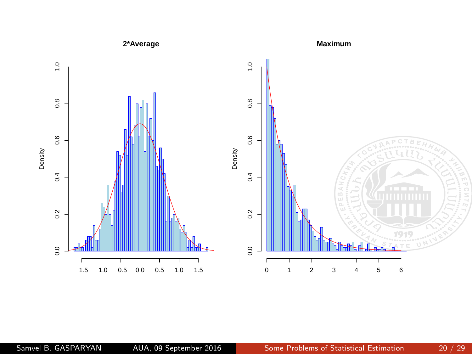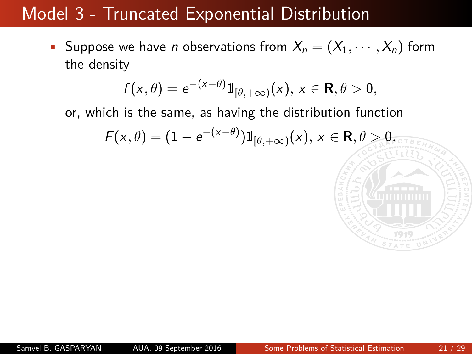• Suppose we have *n* observations from  $X_n = (X_1, \dots, X_n)$  form the density

$$
f(x,\theta) = e^{-(x-\theta)}1\!1_{\left[\theta,+\infty\right)}(x),\,x\in\mathbf{R},\theta>0,
$$

or, which is the same, as having the distribution function

$$
F(x,\theta)=(1-e^{-(x-\theta)})1\!{\rm I}_{[\theta,+\infty)}(x),\,x\in\mathbf{R},\theta>0.
$$

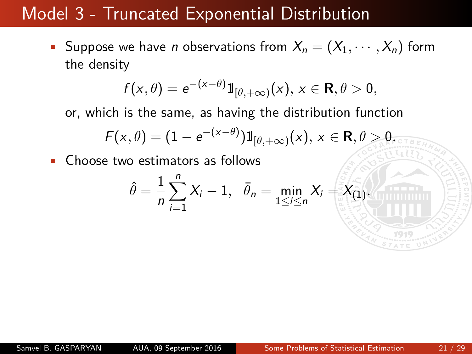• Suppose we have *n* observations from  $X_n = (X_1, \dots, X_n)$  form the density

$$
f(x,\theta) = e^{-(x-\theta)}1\!1_{\left[\theta,+\infty\right)}(x),\,x\in\mathbf{R},\theta>0,
$$

or, which is the same, as having the distribution function

$$
F(x,\theta)=(1-e^{-(x-\theta)})1\!{\rm I}_{[\theta,+\infty)}(x),\,x\in\mathbf{R},\theta>0.
$$

• Choose two estimators as follows

$$
\hat{\theta} = \frac{1}{n} \sum_{i=1}^n X_i - 1, \quad \bar{\theta}_n = \min_{1 \leq i \leq n} X_i = X_{(1)}.
$$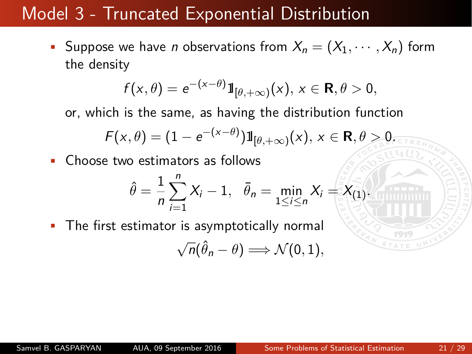• Suppose we have *n* observations from  $X_n = (X_1, \dots, X_n)$  form the density

$$
f(x,\theta) = e^{-(x-\theta)}1\!1_{\left[\theta,+\infty\right)}(x),\,x\in\mathbf{R},\theta>0,
$$

or, which is the same, as having the distribution function

$$
F(x,\theta)=(1-e^{-(x-\theta)})1\!{\rm I}_{[\theta,+\infty)}(x),\,x\in\mathbf{R},\theta>0.
$$

• Choose two estimators as follows

$$
\hat{\theta} = \frac{1}{n} \sum_{i=1}^n X_i - 1, \quad \bar{\theta}_n = \min_{1 \leq i \leq n} X_i = X_{(1)}.
$$

• The first estimator is asymptotically normal

$$
\sqrt{n}(\hat{\theta}_n - \theta) \Longrightarrow \mathcal{N}(0,1),
$$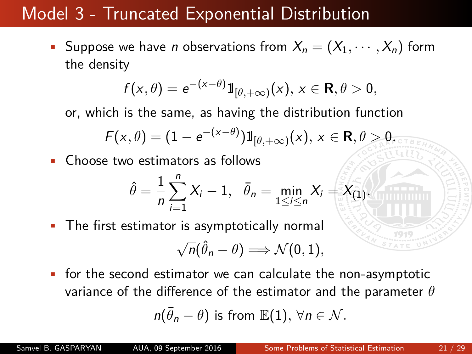• Suppose we have *n* observations from  $X_n = (X_1, \dots, X_n)$  form the density

$$
f(x,\theta) = e^{-(x-\theta)}1\!1_{\left[\theta,+\infty\right)}(x),\,x\in\mathbf{R},\theta>0,
$$

or, which is the same, as having the distribution function

$$
F(x,\theta)=(1-e^{-(x-\theta)})1\!{\rm I}_{[\theta,+\infty)}(x),\,x\in\mathbf{R},\theta\geq 0.
$$

Choose two estimators as follows

$$
\hat{\theta} = \frac{1}{n} \sum_{i=1}^n X_i - 1, \quad \bar{\theta}_n = \min_{1 \leq i \leq n} X_i = X_{(1)}.
$$

• The first estimator is asymptotically normal

$$
\sqrt{n}(\hat{\theta}_n - \theta) \Longrightarrow \mathcal{N}(0,1),
$$

for the second estimator we can calculate the non-asymptotic variance of the difference of the estimator and the parameter *θ*

$$
n(\bar{\theta}_n - \theta) \text{ is from } \mathbb{E}(1), \,\forall n \in \mathcal{N}.
$$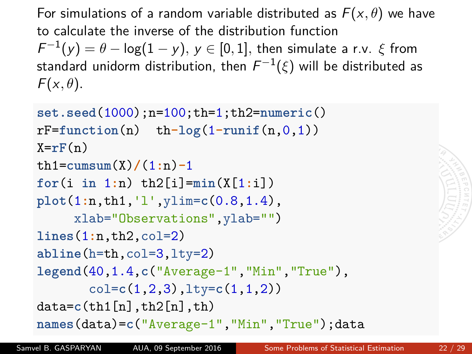For simulations of a random variable distributed as  $F(x, \theta)$  we have to calculate the inverse of the distribution function  $\mathcal{F}^{-1}(y) = \theta - \log(1-y), \ y \in [0,1],$  then simulate a r.v.  $\xi$  from standard unidorm distribution, then  $\mathit{F}^{-1}(\xi)$  will be distributed as  $F(x, \theta)$ .

```
set.seed(1000);n=100;th=1;th2=numeric()
rf = function(n) th-log(1 - runif(n, 0, 1))X=rF(n)th1=cumsum(X)/(1:n)-1
for(i in 1:n) th2[i] = min(X[1:i])plot(1:n,th1,'l',ylim=c(0.8,1.4),
     xlab="Observations",ylab="")
lines(1:n,th2,col=2)
abline(h=th,col=3,lty=2)
legend(40,1.4,c("Average-1","Min","True"),
       col=c(1,2,3),lty=c(1,1,2))
data=c(th1[n],th2[n],th)
names(data)=c("Average-1","Min","True");data
```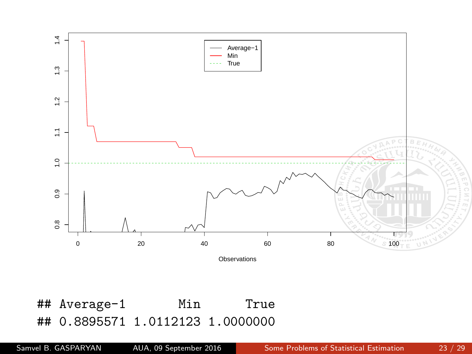

## Average-1 Min True ## 0.8895571 1.0112123 1.0000000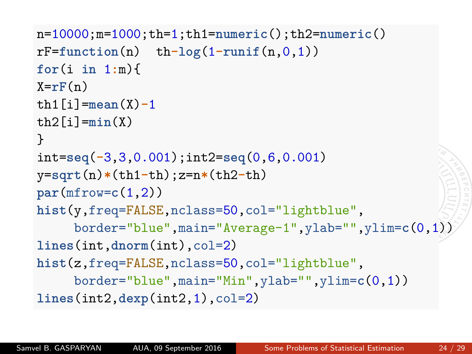```
n=10000;m=1000;th=1;th1=numeric();th2=numeric()
rf = function(n) th-log(1 - runif(n, 0, 1))for(i in 1:m){
X=rF(n)th1[i]=mean(X)-1
th2[i] = min(X)}
int=seq(-3,3,0.001);int2=seq(0,6,0.001)
y=sqrt(n)*(th1-th);z=n*(th2-th)
par(mfrow=c(1,2))
hist(y,freq=FALSE,nclass=50,col="lightblue",
     border="blue",main="Average-1",ylab="",ylim=c(0,1))
lines(int,dnorm(int),col=2)
hist(z,freq=FALSE,nclass=50,col="lightblue",
     border="blue",main="Min",ylab="",ylim=c(0,1))
lines(int2,dexp(int2,1),col=2)
```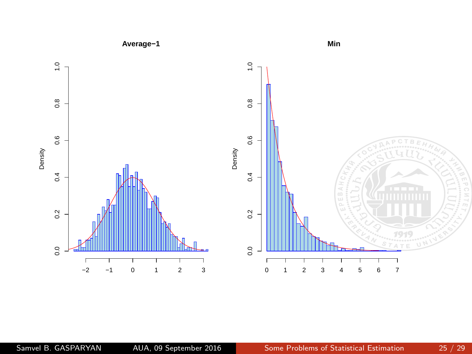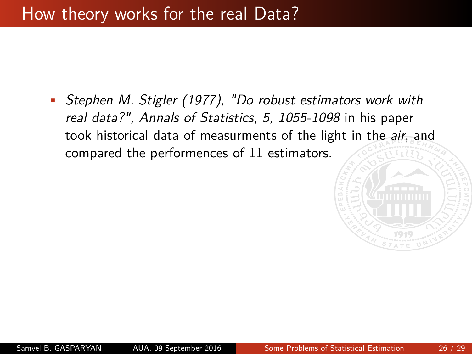#### How theory works for the real Data?

• Stephen M. Stigler (1977), "Do robust estimators work with real data?", Annals of Statistics, 5, 1055-1098 in his paper took historical data of measurments of the light in the air, and compared the performences of 11 estimators.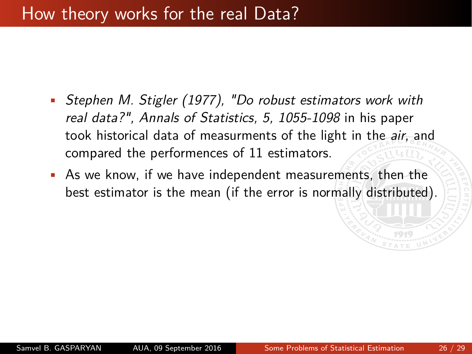#### How theory works for the real Data?

- Stephen M. Stigler (1977), "Do robust estimators work with real data?", Annals of Statistics, 5, 1055-1098 in his paper took historical data of measurments of the light in the air, and compared the performences of 11 estimators.
- As we know, if we have independent measurements, then the best estimator is the mean (if the error is normally distributed).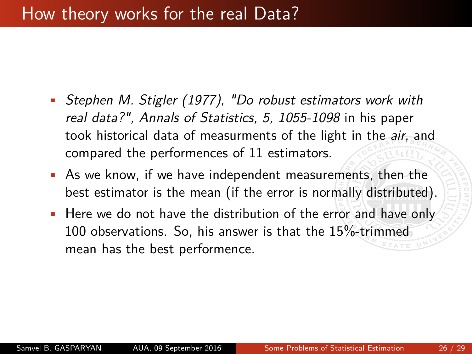#### How theory works for the real Data?

- Stephen M. Stigler (1977), "Do robust estimators work with real data?", Annals of Statistics, 5, 1055-1098 in his paper took historical data of measurments of the light in the air, and compared the performences of 11 estimators.
- As we know, if we have independent measurements, then the best estimator is the mean (if the error is normally distributed).
- Here we do not have the distribution of the error and have only 100 observations. So, his answer is that the 15%-trimmed mean has the best performence.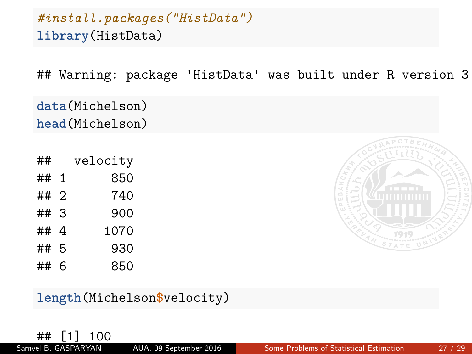#### *#install.packages("HistData")* **library**(HistData)

## Warning: package 'HistData' was built under R version 3

**data**(Michelson) **head**(Michelson)

| ##   | velocity |
|------|----------|
| ## 1 | 850      |
| ## 2 | 740      |
| ##3  | 900      |
| ##4  | 1070     |
| ##5  | 930      |
| ## 6 | 850      |



#### **length**(Michelson**\$**velocity)

 $\frac{\# \#}{\text{Sample B. GASPARYAN}}$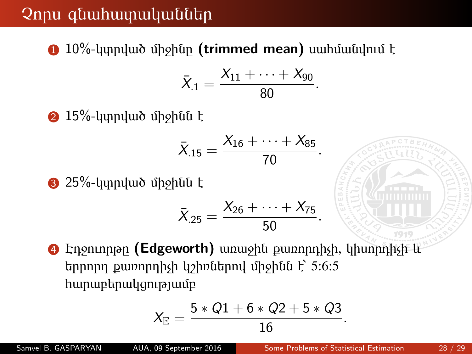## Չորս գնահատականներ

1 10%-կտրված միջինը **(trimmed mean)** սահմանվում է

$$
\bar{X}_{.1}=\frac{X_{11}+\cdots+X_{90}}{80}.
$$

 $\bullet$  15%-կտրված միջինն է

$$
\bar{X}_{.15} = \frac{X_{16} + \dots + X_{85}}{70}
$$

 $\bullet$  25%-կտրված միջինն է

$$
\bar{X}_{.25} = \frac{X_{26} + \dots + X_{75}}{50}
$$

4 Էդջուորթը **(Edgeworth)** առաջին քառորդիչի, կիսորդիչի և երրորդ քառորդիչի կշիռներով միջինն է՝ 5։6։5 հարաբերակցությամբ

$$
X_{\mathbb{E}} = \frac{5*Q1+6*Q2+5*Q3}{16}.
$$

*.*

*.*